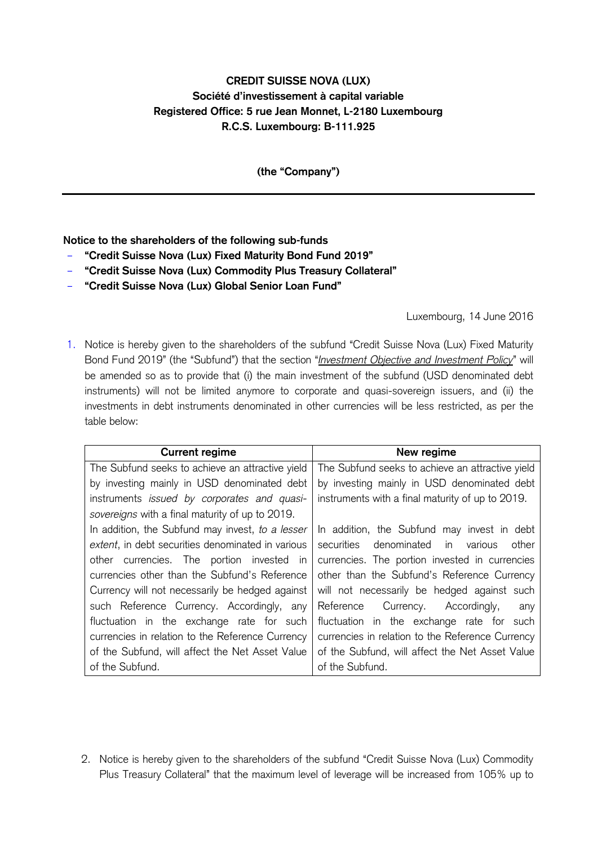## **CREDIT SUISSE NOVA (LUX) Société d'investissement à capital variable Registered Office: 5 rue Jean Monnet, L-2180 Luxembourg R.C.S. Luxembourg: B-111.925**

**(the "Company")**

## **Notice to the shareholders of the following sub-funds**

- **"Credit Suisse Nova (Lux) Fixed Maturity Bond Fund 2019"**
- **"Credit Suisse Nova (Lux) Commodity Plus Treasury Collateral"**
- **"Credit Suisse Nova (Lux) Global Senior Loan Fund"**

Luxembourg, 14 June 2016

1. Notice is hereby given to the shareholders of the subfund "Credit Suisse Nova (Lux) Fixed Maturity Bond Fund 2019" (the "Subfund") that the section "*Investment Objective and Investment Policy*" will be amended so as to provide that (i) the main investment of the subfund (USD denominated debt instruments) will not be limited anymore to corporate and quasi-sovereign issuers, and (ii) the investments in debt instruments denominated in other currencies will be less restricted, as per the table below:

| <b>Current regime</b>                             | New regime                                          |
|---------------------------------------------------|-----------------------------------------------------|
| The Subfund seeks to achieve an attractive yield  | The Subfund seeks to achieve an attractive yield    |
| by investing mainly in USD denominated debt       | by investing mainly in USD denominated debt         |
| instruments issued by corporates and quasi-       | instruments with a final maturity of up to 2019.    |
| sovereigns with a final maturity of up to 2019.   |                                                     |
| In addition, the Subfund may invest, to a lesser  | In addition, the Subfund may invest in debt         |
| extent, in debt securities denominated in various | securities denominated<br>in in<br>other<br>various |
| other currencies. The portion invested in         | currencies. The portion invested in currencies      |
| currencies other than the Subfund's Reference     | other than the Subfund's Reference Currency         |
| Currency will not necessarily be hedged against   | will not necessarily be hedged against such         |
| such Reference Currency. Accordingly, any         | Currency. Accordingly,<br>Reference<br>any          |
| fluctuation in the exchange rate for such         | fluctuation in the exchange rate for such           |
| currencies in relation to the Reference Currency  | currencies in relation to the Reference Currency    |
| of the Subfund, will affect the Net Asset Value   | of the Subfund, will affect the Net Asset Value     |
| of the Subfund.                                   | of the Subfund.                                     |

2. Notice is hereby given to the shareholders of the subfund "Credit Suisse Nova (Lux) Commodity Plus Treasury Collateral" that the maximum level of leverage will be increased from 105% up to